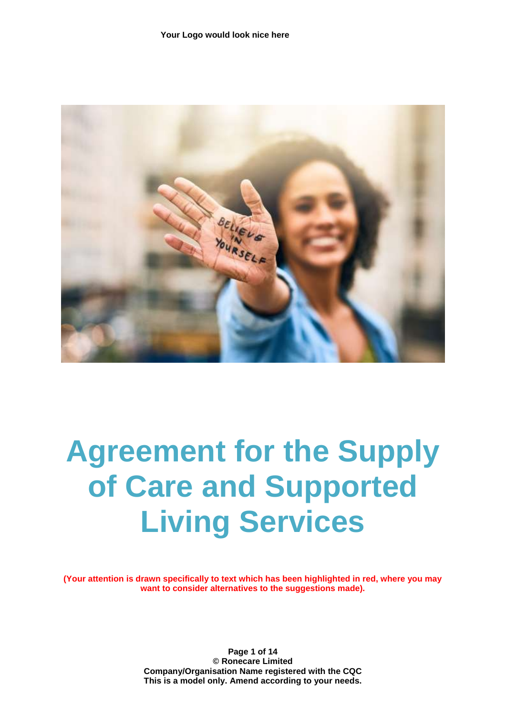

# **Agreement for the Supply of Care and Supported Living Services**

**(Your attention is drawn specifically to text which has been highlighted in red, where you may want to consider alternatives to the suggestions made).**

> **Page 1 of 14 © Ronecare Limited Company/Organisation Name registered with the CQC This is a model only. Amend according to your needs.**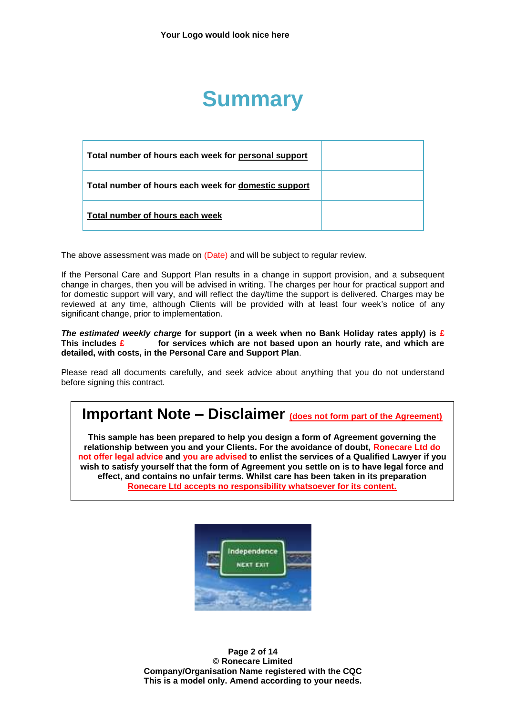## **Summary**

| Total number of hours each week for personal support |  |
|------------------------------------------------------|--|
| Total number of hours each week for domestic support |  |
| Total number of hours each week                      |  |

The above assessment was made on (Date) and will be subject to regular review.

If the Personal Care and Support Plan results in a change in support provision, and a subsequent change in charges, then you will be advised in writing. The charges per hour for practical support and for domestic support will vary, and will reflect the day/time the support is delivered. Charges may be reviewed at any time, although Clients will be provided with at least four week's notice of any significant change, prior to implementation.

*The estimated weekly charge* **for support (in a week when no Bank Holiday rates apply) is £ This includes £ for services which are not based upon an hourly rate, and which are detailed, with costs, in the Personal Care and Support Plan**.

Please read all documents carefully, and seek advice about anything that you do not understand before signing this contract.

### **Important Note – Disclaimer (does not form part of the Agreement)**

**This sample has been prepared to help you design a form of Agreement governing the relationship between you and your Clients. For the avoidance of doubt, Ronecare Ltd do not offer legal advice and you are advised to enlist the services of a Qualified Lawyer if you wish to satisfy yourself that the form of Agreement you settle on is to have legal force and effect, and contains no unfair terms. Whilst care has been taken in its preparation Ronecare Ltd accepts no responsibility whatsoever for its content.**



**Page 2 of 14 © Ronecare Limited Company/Organisation Name registered with the CQC This is a model only. Amend according to your needs.**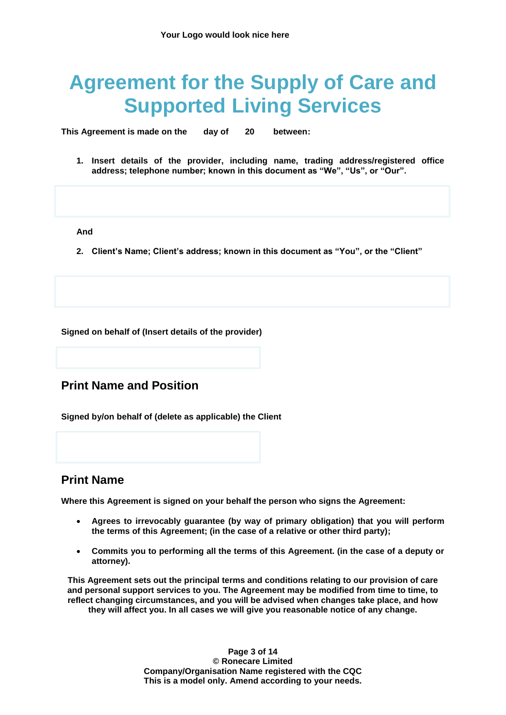## **Agreement for the Supply of Care and Supported Living Services**

**This Agreement is made on the day of 20 between:**

**1. Insert details of the provider, including name, trading address/registered office address; telephone number; known in this document as "We", "Us", or "Our".**

**And**

**2. Client's Name; Client's address; known in this document as "You", or the "Client"**

**Signed on behalf of (Insert details of the provider)**

#### **Print Name and Position**

**Signed by/on behalf of (delete as applicable) the Client**

#### **Print Name**

**Where this Agreement is signed on your behalf the person who signs the Agreement:**

- **Agrees to irrevocably guarantee (by way of primary obligation) that you will perform the terms of this Agreement; (in the case of a relative or other third party);**
- **Commits you to performing all the terms of this Agreement. (in the case of a deputy or attorney).**

**This Agreement sets out the principal terms and conditions relating to our provision of care and personal support services to you. The Agreement may be modified from time to time, to reflect changing circumstances, and you will be advised when changes take place, and how they will affect you. In all cases we will give you reasonable notice of any change.**

> **Page 3 of 14 © Ronecare Limited Company/Organisation Name registered with the CQC This is a model only. Amend according to your needs.**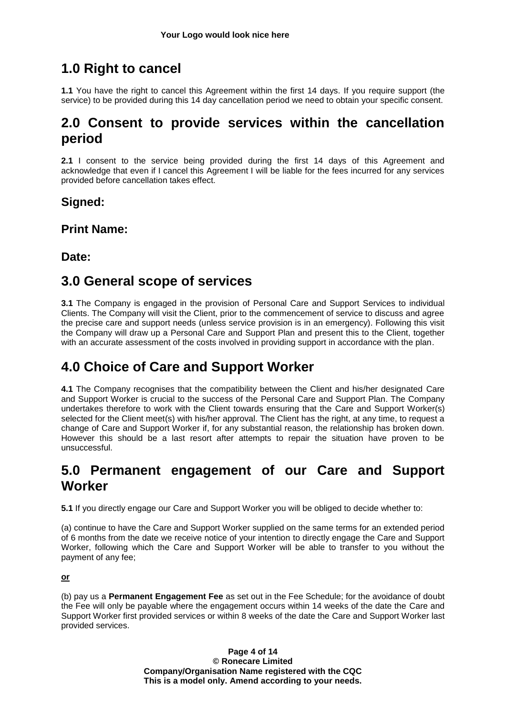### **1.0 Right to cancel**

**1.1** You have the right to cancel this Agreement within the first 14 days. If you require support (the service) to be provided during this 14 day cancellation period we need to obtain your specific consent.

### **2.0 Consent to provide services within the cancellation period**

**2.1** I consent to the service being provided during the first 14 days of this Agreement and acknowledge that even if I cancel this Agreement I will be liable for the fees incurred for any services provided before cancellation takes effect.

### **Signed:**

**Print Name:**

### **Date:**

### **3.0 General scope of services**

**3.1** The Company is engaged in the provision of Personal Care and Support Services to individual Clients. The Company will visit the Client, prior to the commencement of service to discuss and agree the precise care and support needs (unless service provision is in an emergency). Following this visit the Company will draw up a Personal Care and Support Plan and present this to the Client, together with an accurate assessment of the costs involved in providing support in accordance with the plan.

### **4.0 Choice of Care and Support Worker**

**4.1** The Company recognises that the compatibility between the Client and his/her designated Care and Support Worker is crucial to the success of the Personal Care and Support Plan. The Company undertakes therefore to work with the Client towards ensuring that the Care and Support Worker(s) selected for the Client meet(s) with his/her approval. The Client has the right, at any time, to request a change of Care and Support Worker if, for any substantial reason, the relationship has broken down. However this should be a last resort after attempts to repair the situation have proven to be unsuccessful.

### **5.0 Permanent engagement of our Care and Support Worker**

**5.1** If you directly engage our Care and Support Worker you will be obliged to decide whether to:

(a) continue to have the Care and Support Worker supplied on the same terms for an extended period of 6 months from the date we receive notice of your intention to directly engage the Care and Support Worker, following which the Care and Support Worker will be able to transfer to you without the payment of any fee;

#### **or**

(b) pay us a **Permanent Engagement Fee** as set out in the Fee Schedule; for the avoidance of doubt the Fee will only be payable where the engagement occurs within 14 weeks of the date the Care and Support Worker first provided services or within 8 weeks of the date the Care and Support Worker last provided services.

> **Page 4 of 14 © Ronecare Limited Company/Organisation Name registered with the CQC This is a model only. Amend according to your needs.**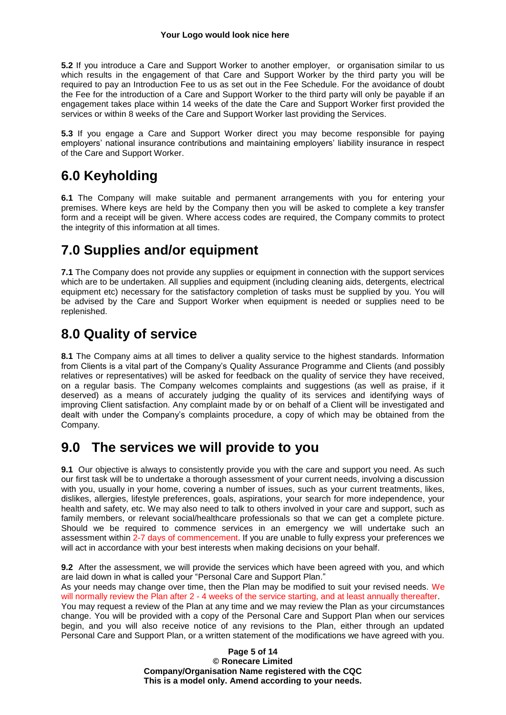**5.2** If you introduce a Care and Support Worker to another employer, or organisation similar to us which results in the engagement of that Care and Support Worker by the third party you will be required to pay an Introduction Fee to us as set out in the Fee Schedule. For the avoidance of doubt the Fee for the introduction of a Care and Support Worker to the third party will only be payable if an engagement takes place within 14 weeks of the date the Care and Support Worker first provided the services or within 8 weeks of the Care and Support Worker last providing the Services.

**5.3** If you engage a Care and Support Worker direct you may become responsible for paying employers' national insurance contributions and maintaining employers' liability insurance in respect of the Care and Support Worker.

### **6.0 Keyholding**

**6.1** The Company will make suitable and permanent arrangements with you for entering your premises. Where keys are held by the Company then you will be asked to complete a key transfer form and a receipt will be given. Where access codes are required, the Company commits to protect the integrity of this information at all times.

### **7.0 Supplies and/or equipment**

**7.1** The Company does not provide any supplies or equipment in connection with the support services which are to be undertaken. All supplies and equipment (including cleaning aids, detergents, electrical equipment etc) necessary for the satisfactory completion of tasks must be supplied by you. You will be advised by the Care and Support Worker when equipment is needed or supplies need to be replenished.

### **8.0 Quality of service**

**8.1** The Company aims at all times to deliver a quality service to the highest standards. Information from Clients is a vital part of the Company's Quality Assurance Programme and Clients (and possibly relatives or representatives) will be asked for feedback on the quality of service they have received, on a regular basis. The Company welcomes complaints and suggestions (as well as praise, if it deserved) as a means of accurately judging the quality of its services and identifying ways of improving Client satisfaction. Any complaint made by or on behalf of a Client will be investigated and dealt with under the Company's complaints procedure, a copy of which may be obtained from the Company.

### **9.0 The services we will provide to you**

**9.1** Our objective is always to consistently provide you with the care and support you need. As such our first task will be to undertake a thorough assessment of your current needs, involving a discussion with you, usually in your home, covering a number of issues, such as your current treatments, likes, dislikes, allergies, lifestyle preferences, goals, aspirations, your search for more independence, your health and safety, etc. We may also need to talk to others involved in your care and support, such as family members, or relevant social/healthcare professionals so that we can get a complete picture. Should we be required to commence services in an emergency we will undertake such an assessment within 2-7 days of commencement. If you are unable to fully express your preferences we will act in accordance with your best interests when making decisions on your behalf.

**9.2** After the assessment, we will provide the services which have been agreed with you, and which are laid down in what is called your "Personal Care and Support Plan."

As your needs may change over time, then the Plan may be modified to suit your revised needs. We will normally review the Plan after 2 - 4 weeks of the service starting, and at least annually thereafter.

You may request a review of the Plan at any time and we may review the Plan as your circumstances change. You will be provided with a copy of the Personal Care and Support Plan when our services begin, and you will also receive notice of any revisions to the Plan, either through an updated Personal Care and Support Plan, or a written statement of the modifications we have agreed with you.

> **Page 5 of 14 © Ronecare Limited Company/Organisation Name registered with the CQC This is a model only. Amend according to your needs.**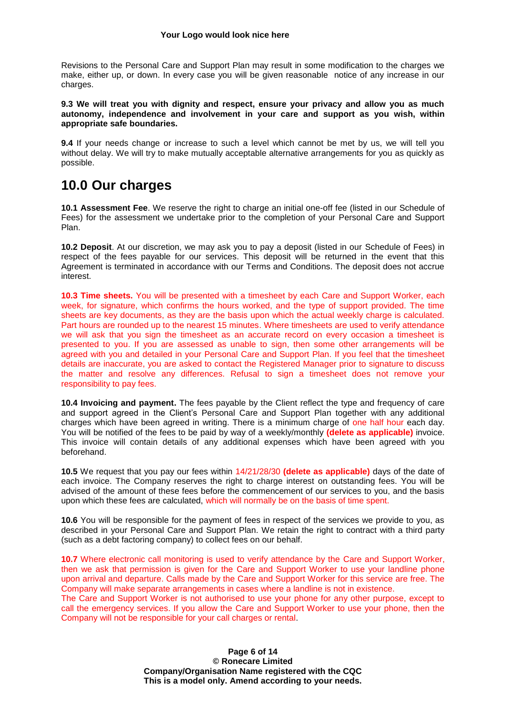Revisions to the Personal Care and Support Plan may result in some modification to the charges we make, either up, or down. In every case you will be given reasonable notice of any increase in our charges.

**9.3 We will treat you with dignity and respect, ensure your privacy and allow you as much autonomy, independence and involvement in your care and support as you wish, within appropriate safe boundaries.**

**9.4** If your needs change or increase to such a level which cannot be met by us, we will tell you without delay. We will try to make mutually acceptable alternative arrangements for you as quickly as possible.

### **10.0 Our charges**

**10.1 Assessment Fee**. We reserve the right to charge an initial one-off fee (listed in our Schedule of Fees) for the assessment we undertake prior to the completion of your Personal Care and Support Plan.

**10.2 Deposit**. At our discretion, we may ask you to pay a deposit (listed in our Schedule of Fees) in respect of the fees payable for our services. This deposit will be returned in the event that this Agreement is terminated in accordance with our Terms and Conditions. The deposit does not accrue interest.

**10.3 Time sheets.** You will be presented with a timesheet by each Care and Support Worker, each week, for signature, which confirms the hours worked, and the type of support provided. The time sheets are key documents, as they are the basis upon which the actual weekly charge is calculated. Part hours are rounded up to the nearest 15 minutes. Where timesheets are used to verify attendance we will ask that you sign the timesheet as an accurate record on every occasion a timesheet is presented to you. If you are assessed as unable to sign, then some other arrangements will be agreed with you and detailed in your Personal Care and Support Plan. If you feel that the timesheet details are inaccurate, you are asked to contact the Registered Manager prior to signature to discuss the matter and resolve any differences. Refusal to sign a timesheet does not remove your responsibility to pay fees.

**10.4 Invoicing and payment.** The fees payable by the Client reflect the type and frequency of care and support agreed in the Client's Personal Care and Support Plan together with any additional charges which have been agreed in writing. There is a minimum charge of one half hour each day. You will be notified of the fees to be paid by way of a weekly/monthly **(delete as applicable)** invoice. This invoice will contain details of any additional expenses which have been agreed with you beforehand.

**10.5** We request that you pay our fees within 14/21/28/30 **(delete as applicable)** days of the date of each invoice. The Company reserves the right to charge interest on outstanding fees. You will be advised of the amount of these fees before the commencement of our services to you, and the basis upon which these fees are calculated, which will normally be on the basis of time spent.

**10.6** You will be responsible for the payment of fees in respect of the services we provide to you, as described in your Personal Care and Support Plan. We retain the right to contract with a third party (such as a debt factoring company) to collect fees on our behalf.

**10.7** Where electronic call monitoring is used to verify attendance by the Care and Support Worker, then we ask that permission is given for the Care and Support Worker to use your landline phone upon arrival and departure. Calls made by the Care and Support Worker for this service are free. The Company will make separate arrangements in cases where a landline is not in existence.

The Care and Support Worker is not authorised to use your phone for any other purpose, except to call the emergency services. If you allow the Care and Support Worker to use your phone, then the Company will not be responsible for your call charges or rental.

> **Page 6 of 14 © Ronecare Limited Company/Organisation Name registered with the CQC This is a model only. Amend according to your needs.**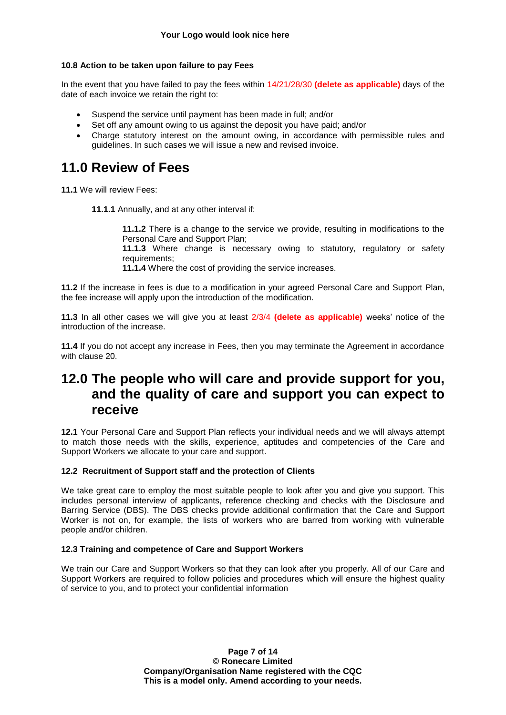#### **10.8 Action to be taken upon failure to pay Fees**

In the event that you have failed to pay the fees within 14/21/28/30 **(delete as applicable)** days of the date of each invoice we retain the right to:

- Suspend the service until payment has been made in full; and/or
- Set off any amount owing to us against the deposit you have paid; and/or
- Charge statutory interest on the amount owing, in accordance with permissible rules and guidelines. In such cases we will issue a new and revised invoice.

### **11.0 Review of Fees**

**11.1** We will review Fees:

**11.1.1** Annually, and at any other interval if:

**11.1.2** There is a change to the service we provide, resulting in modifications to the Personal Care and Support Plan;

**11.1.3** Where change is necessary owing to statutory, regulatory or safety requirements;

**11.1.4** Where the cost of providing the service increases.

**11.2** If the increase in fees is due to a modification in your agreed Personal Care and Support Plan, the fee increase will apply upon the introduction of the modification.

**11.3** In all other cases we will give you at least 2/3/4 **(delete as applicable)** weeks' notice of the introduction of the increase.

**11.4** If you do not accept any increase in Fees, then you may terminate the Agreement in accordance with clause 20.

### **12.0 The people who will care and provide support for you, and the quality of care and support you can expect to receive**

**12.1** Your Personal Care and Support Plan reflects your individual needs and we will always attempt to match those needs with the skills, experience, aptitudes and competencies of the Care and Support Workers we allocate to your care and support.

#### **12.2 Recruitment of Support staff and the protection of Clients**

We take great care to employ the most suitable people to look after you and give you support. This includes personal interview of applicants, reference checking and checks with the Disclosure and Barring Service (DBS). The DBS checks provide additional confirmation that the Care and Support Worker is not on, for example, the lists of workers who are barred from working with vulnerable people and/or children.

#### **12.3 Training and competence of Care and Support Workers**

We train our Care and Support Workers so that they can look after you properly. All of our Care and Support Workers are required to follow policies and procedures which will ensure the highest quality of service to you, and to protect your confidential information

> **Page 7 of 14 © Ronecare Limited Company/Organisation Name registered with the CQC This is a model only. Amend according to your needs.**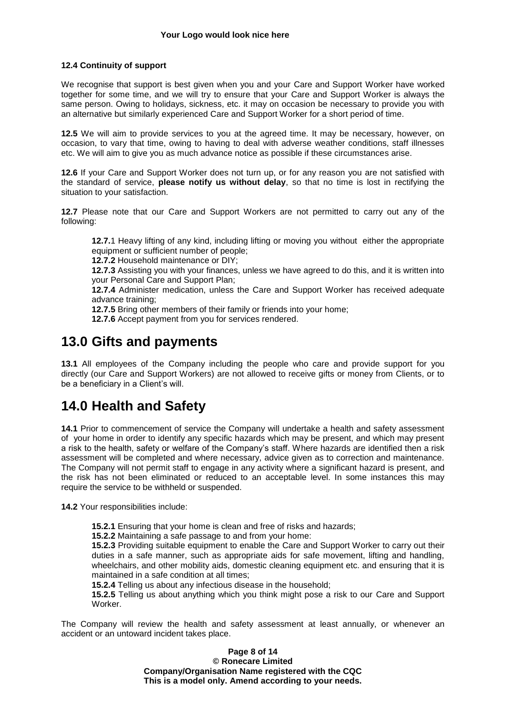#### **12.4 Continuity of support**

We recognise that support is best given when you and your Care and Support Worker have worked together for some time, and we will try to ensure that your Care and Support Worker is always the same person. Owing to holidays, sickness, etc. it may on occasion be necessary to provide you with an alternative but similarly experienced Care and Support Worker for a short period of time.

**12.5** We will aim to provide services to you at the agreed time. It may be necessary, however, on occasion, to vary that time, owing to having to deal with adverse weather conditions, staff illnesses etc. We will aim to give you as much advance notice as possible if these circumstances arise.

**12.6** If your Care and Support Worker does not turn up, or for any reason you are not satisfied with the standard of service, **please notify us without delay**, so that no time is lost in rectifying the situation to your satisfaction.

**12.7** Please note that our Care and Support Workers are not permitted to carry out any of the following:

**12.7.**1 Heavy lifting of any kind, including lifting or moving you without either the appropriate equipment or sufficient number of people;

**12.7.2** Household maintenance or DIY;

**12.7.3** Assisting you with your finances, unless we have agreed to do this, and it is written into your Personal Care and Support Plan;

**12.7.4** Administer medication, unless the Care and Support Worker has received adequate advance training;

**12.7.5** Bring other members of their family or friends into your home;

**12.7.6** Accept payment from you for services rendered.

### **13.0 Gifts and payments**

**13.1** All employees of the Company including the people who care and provide support for you directly (our Care and Support Workers) are not allowed to receive gifts or money from Clients, or to be a beneficiary in a Client's will.

### **14.0 Health and Safety**

**14.1** Prior to commencement of service the Company will undertake a health and safety assessment of your home in order to identify any specific hazards which may be present, and which may present a risk to the health, safety or welfare of the Company's staff. Where hazards are identified then a risk assessment will be completed and where necessary, advice given as to correction and maintenance. The Company will not permit staff to engage in any activity where a significant hazard is present, and the risk has not been eliminated or reduced to an acceptable level. In some instances this may require the service to be withheld or suspended.

**14.2** Your responsibilities include:

**15.2.1** Ensuring that your home is clean and free of risks and hazards;

**15.2.2** Maintaining a safe passage to and from your home:

**15.2.3** Providing suitable equipment to enable the Care and Support Worker to carry out their duties in a safe manner, such as appropriate aids for safe movement, lifting and handling, wheelchairs, and other mobility aids, domestic cleaning equipment etc. and ensuring that it is maintained in a safe condition at all times;

**15.2.4** Telling us about any infectious disease in the household;

**15.2.5** Telling us about anything which you think might pose a risk to our Care and Support Worker.

The Company will review the health and safety assessment at least annually, or whenever an accident or an untoward incident takes place.

> **Page 8 of 14 © Ronecare Limited Company/Organisation Name registered with the CQC This is a model only. Amend according to your needs.**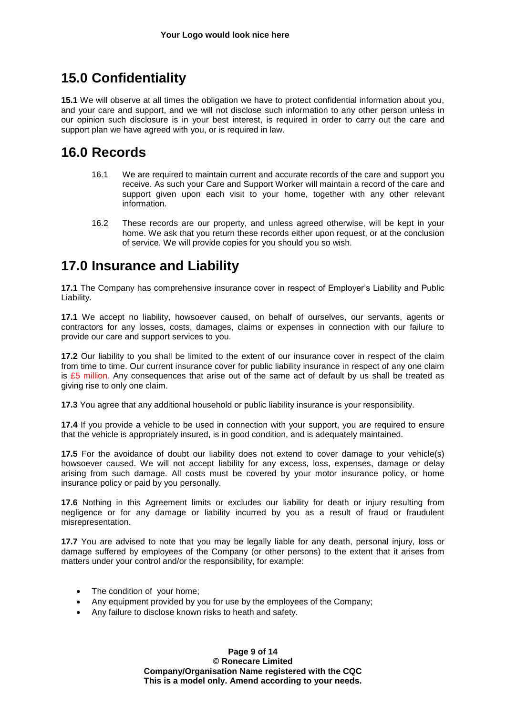### **15.0 Confidentiality**

**15.1** We will observe at all times the obligation we have to protect confidential information about you, and your care and support, and we will not disclose such information to any other person unless in our opinion such disclosure is in your best interest, is required in order to carry out the care and support plan we have agreed with you, or is required in law.

### **16.0 Records**

- 16.1 We are required to maintain current and accurate records of the care and support you receive. As such your Care and Support Worker will maintain a record of the care and support given upon each visit to your home, together with any other relevant information.
- 16.2 These records are our property, and unless agreed otherwise, will be kept in your home. We ask that you return these records either upon request, or at the conclusion of service. We will provide copies for you should you so wish.

### **17.0 Insurance and Liability**

**17.1** The Company has comprehensive insurance cover in respect of Employer's Liability and Public Liability.

**17.1** We accept no liability, howsoever caused, on behalf of ourselves, our servants, agents or contractors for any losses, costs, damages, claims or expenses in connection with our failure to provide our care and support services to you.

**17.2** Our liability to you shall be limited to the extent of our insurance cover in respect of the claim from time to time. Our current insurance cover for public liability insurance in respect of any one claim is  $£5$  million. Any consequences that arise out of the same act of default by us shall be treated as giving rise to only one claim.

**17.3** You agree that any additional household or public liability insurance is your responsibility.

**17.4** If you provide a vehicle to be used in connection with your support, you are required to ensure that the vehicle is appropriately insured, is in good condition, and is adequately maintained.

**17.5** For the avoidance of doubt our liability does not extend to cover damage to your vehicle(s) howsoever caused. We will not accept liability for any excess, loss, expenses, damage or delay arising from such damage. All costs must be covered by your motor insurance policy, or home insurance policy or paid by you personally.

**17.6** Nothing in this Agreement limits or excludes our liability for death or injury resulting from negligence or for any damage or liability incurred by you as a result of fraud or fraudulent misrepresentation.

**17.7** You are advised to note that you may be legally liable for any death, personal injury, loss or damage suffered by employees of the Company (or other persons) to the extent that it arises from matters under your control and/or the responsibility, for example:

- The condition of your home:
- Any equipment provided by you for use by the employees of the Company;
- Any failure to disclose known risks to heath and safety.

**Page 9 of 14 © Ronecare Limited Company/Organisation Name registered with the CQC This is a model only. Amend according to your needs.**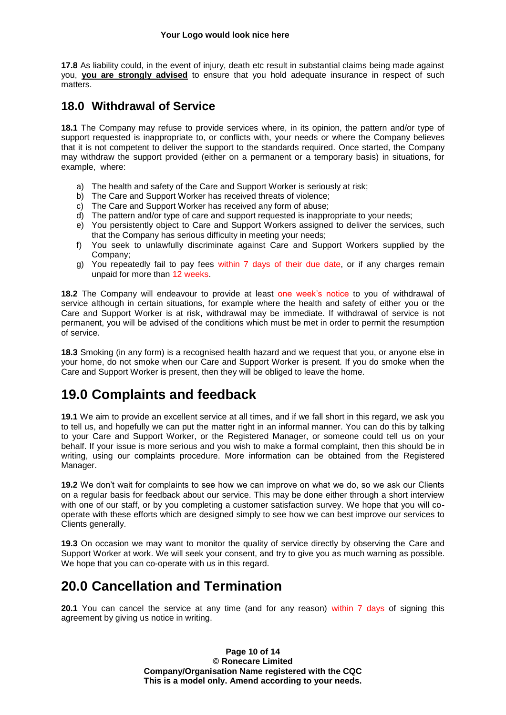**17.8** As liability could, in the event of injury, death etc result in substantial claims being made against you, **you are strongly advised** to ensure that you hold adequate insurance in respect of such matters.

#### **18.0 Withdrawal of Service**

**18.1** The Company may refuse to provide services where, in its opinion, the pattern and/or type of support requested is inappropriate to, or conflicts with, your needs or where the Company believes that it is not competent to deliver the support to the standards required. Once started, the Company may withdraw the support provided (either on a permanent or a temporary basis) in situations, for example, where:

- a) The health and safety of the Care and Support Worker is seriously at risk;
- b) The Care and Support Worker has received threats of violence;
- c) The Care and Support Worker has received any form of abuse;
- d) The pattern and/or type of care and support requested is inappropriate to your needs;
- e) You persistently object to Care and Support Workers assigned to deliver the services, such that the Company has serious difficulty in meeting your needs;
- f) You seek to unlawfully discriminate against Care and Support Workers supplied by the Company;
- g) You repeatedly fail to pay fees within 7 days of their due date, or if any charges remain unpaid for more than 12 weeks.

**18.2** The Company will endeavour to provide at least one week's notice to you of withdrawal of service although in certain situations, for example where the health and safety of either you or the Care and Support Worker is at risk, withdrawal may be immediate. If withdrawal of service is not permanent, you will be advised of the conditions which must be met in order to permit the resumption of service.

**18.3** Smoking (in any form) is a recognised health hazard and we request that you, or anyone else in your home, do not smoke when our Care and Support Worker is present. If you do smoke when the Care and Support Worker is present, then they will be obliged to leave the home.

### **19.0 Complaints and feedback**

**19.1** We aim to provide an excellent service at all times, and if we fall short in this regard, we ask you to tell us, and hopefully we can put the matter right in an informal manner. You can do this by talking to your Care and Support Worker, or the Registered Manager, or someone could tell us on your behalf. If your issue is more serious and you wish to make a formal complaint, then this should be in writing, using our complaints procedure. More information can be obtained from the Registered Manager.

**19.2** We don't wait for complaints to see how we can improve on what we do, so we ask our Clients on a regular basis for feedback about our service. This may be done either through a short interview with one of our staff, or by you completing a customer satisfaction survey. We hope that you will cooperate with these efforts which are designed simply to see how we can best improve our services to Clients generally.

**19.3** On occasion we may want to monitor the quality of service directly by observing the Care and Support Worker at work. We will seek your consent, and try to give you as much warning as possible. We hope that you can co-operate with us in this regard.

### **20.0 Cancellation and Termination**

**20.1** You can cancel the service at any time (and for any reason) within 7 days of signing this agreement by giving us notice in writing.

> **Page 10 of 14 © Ronecare Limited Company/Organisation Name registered with the CQC This is a model only. Amend according to your needs.**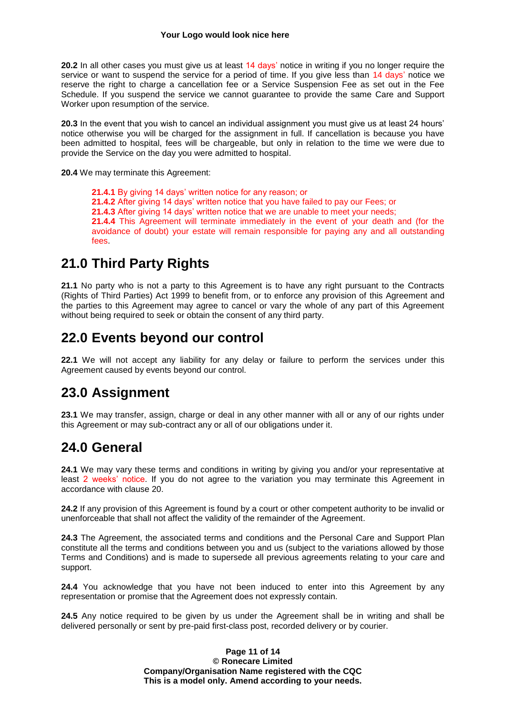**20.2** In all other cases you must give us at least 14 days' notice in writing if you no longer require the service or want to suspend the service for a period of time. If you give less than 14 days' notice we reserve the right to charge a cancellation fee or a Service Suspension Fee as set out in the Fee Schedule. If you suspend the service we cannot guarantee to provide the same Care and Support Worker upon resumption of the service.

**20.3** In the event that you wish to cancel an individual assignment you must give us at least 24 hours' notice otherwise you will be charged for the assignment in full. If cancellation is because you have been admitted to hospital, fees will be chargeable, but only in relation to the time we were due to provide the Service on the day you were admitted to hospital.

**20.4** We may terminate this Agreement:

**21.4.1** By giving 14 days' written notice for any reason; or **21.4.2** After giving 14 days' written notice that you have failed to pay our Fees; or **21.4.3** After giving 14 days' written notice that we are unable to meet your needs; **21.4.4** This Agreement will terminate immediately in the event of your death and (for the avoidance of doubt) your estate will remain responsible for paying any and all outstanding fees

### **21.0 Third Party Rights**

**21.1** No party who is not a party to this Agreement is to have any right pursuant to the Contracts (Rights of Third Parties) Act 1999 to benefit from, or to enforce any provision of this Agreement and the parties to this Agreement may agree to cancel or vary the whole of any part of this Agreement without being required to seek or obtain the consent of any third party.

### **22.0 Events beyond our control**

**22.1** We will not accept any liability for any delay or failure to perform the services under this Agreement caused by events beyond our control.

### **23.0 Assignment**

**23.1** We may transfer, assign, charge or deal in any other manner with all or any of our rights under this Agreement or may sub-contract any or all of our obligations under it.

### **24.0 General**

**24.1** We may vary these terms and conditions in writing by giving you and/or your representative at least 2 weeks' notice. If you do not agree to the variation you may terminate this Agreement in accordance with clause 20.

**24.2** If any provision of this Agreement is found by a court or other competent authority to be invalid or unenforceable that shall not affect the validity of the remainder of the Agreement.

**24.3** The Agreement, the associated terms and conditions and the Personal Care and Support Plan constitute all the terms and conditions between you and us (subject to the variations allowed by those Terms and Conditions) and is made to supersede all previous agreements relating to your care and support.

**24.4** You acknowledge that you have not been induced to enter into this Agreement by any representation or promise that the Agreement does not expressly contain.

**24.5** Any notice required to be given by us under the Agreement shall be in writing and shall be delivered personally or sent by pre-paid first-class post, recorded delivery or by courier.

> **Page 11 of 14 © Ronecare Limited Company/Organisation Name registered with the CQC This is a model only. Amend according to your needs.**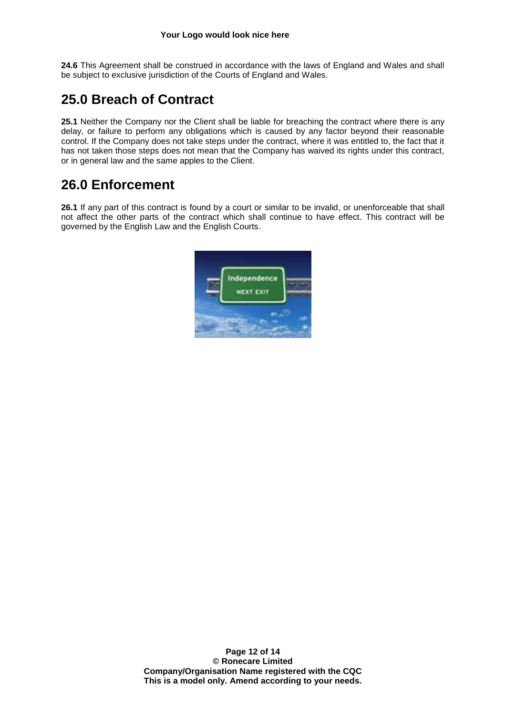**24.6** This Agreement shall be construed in accordance with the laws of England and Wales and shall be subject to exclusive jurisdiction of the Courts of England and Wales.

### **25.0 Breach of Contract**

**25.1** Neither the Company nor the Client shall be liable for breaching the contract where there is any delay, or failure to perform any obligations which is caused by any factor beyond their reasonable control. If the Company does not take steps under the contract, where it was entitled to, the fact that it has not taken those steps does not mean that the Company has waived its rights under this contract, or in general law and the same apples to the Client.

### **26.0 Enforcement**

**26.1** If any part of this contract is found by a court or similar to be invalid, or unenforceable that shall not affect the other parts of the contract which shall continue to have effect. This contract will be governed by the English Law and the English Courts.

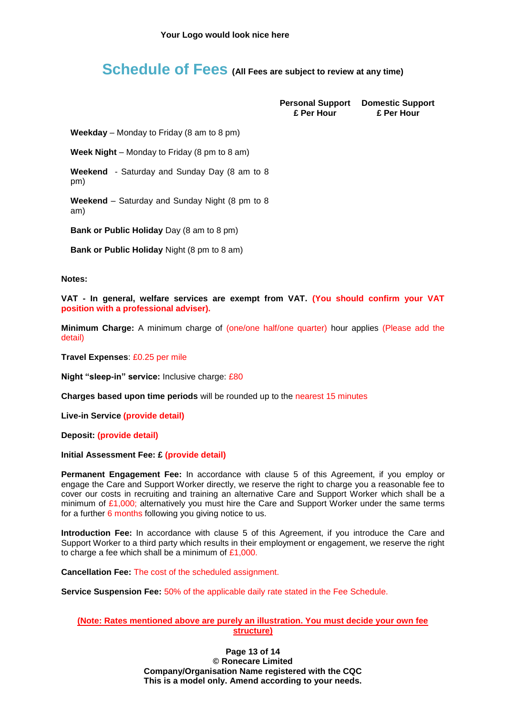### **Schedule of Fees (All Fees are subject to review at any time)**

**£ Per Hour**

**Personal Support Domestic Support £ Per Hour**

**Weekday** – Monday to Friday (8 am to 8 pm)

**Week Night** – Monday to Friday (8 pm to 8 am)

**Weekend** - Saturday and Sunday Day (8 am to 8 pm)

**Weekend** – Saturday and Sunday Night (8 pm to 8 am)

**Bank or Public Holiday** Day (8 am to 8 pm)

**Bank or Public Holiday** Night (8 pm to 8 am)

**Notes:**

**VAT - In general, welfare services are exempt from VAT. (You should confirm your VAT position with a professional adviser).**

**Minimum Charge:** A minimum charge of (one/one half/one quarter) hour applies (Please add the detail)

**Travel Expenses**: £0.25 per mile

**Night "sleep-in" service:** Inclusive charge: £80

**Charges based upon time periods** will be rounded up to the nearest 15 minutes

**Live-in Service (provide detail)**

**Deposit: (provide detail)**

**Initial Assessment Fee: £ (provide detail)**

**Permanent Engagement Fee:** In accordance with clause 5 of this Agreement, if you employ or engage the Care and Support Worker directly, we reserve the right to charge you a reasonable fee to cover our costs in recruiting and training an alternative Care and Support Worker which shall be a minimum of  $£1,000$ ; alternatively you must hire the Care and Support Worker under the same terms for a further 6 months following you giving notice to us.

**Introduction Fee:** In accordance with clause 5 of this Agreement, if you introduce the Care and Support Worker to a third party which results in their employment or engagement, we reserve the right to charge a fee which shall be a minimum of £1,000.

**Cancellation Fee:** The cost of the scheduled assignment.

**Service Suspension Fee:** 50% of the applicable daily rate stated in the Fee Schedule.

#### **(Note: Rates mentioned above are purely an illustration. You must decide your own fee structure)**

**Page 13 of 14 © Ronecare Limited Company/Organisation Name registered with the CQC This is a model only. Amend according to your needs.**